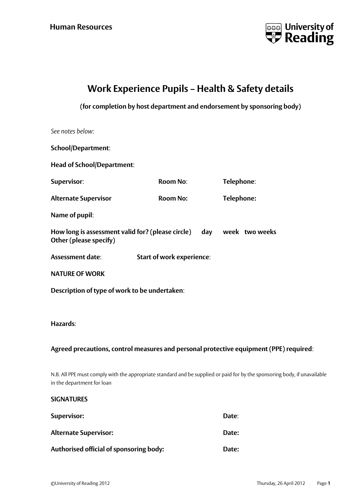

## **Work Experience Pupils – Health & Safety details**

## **(for completion by host department and endorsement by sponsoring body)**

| School/Department:                                                                     |                                  |  |            |                                                                                                                           |  |
|----------------------------------------------------------------------------------------|----------------------------------|--|------------|---------------------------------------------------------------------------------------------------------------------------|--|
| <b>Head of School/Department:</b>                                                      |                                  |  |            |                                                                                                                           |  |
| Supervisor:                                                                            | <b>Room No:</b>                  |  | Telephone: |                                                                                                                           |  |
| <b>Alternate Supervisor</b>                                                            | <b>Room No:</b>                  |  | Telephone: |                                                                                                                           |  |
| Name of pupil:                                                                         |                                  |  |            |                                                                                                                           |  |
| How long is assessment valid for? (please circle)<br>Other (please specify)            |                                  |  |            | day week two weeks                                                                                                        |  |
| Assessment date:                                                                       | <b>Start of work experience:</b> |  |            |                                                                                                                           |  |
| <b>NATURE OF WORK</b>                                                                  |                                  |  |            |                                                                                                                           |  |
| Description of type of work to be undertaken:                                          |                                  |  |            |                                                                                                                           |  |
|                                                                                        |                                  |  |            |                                                                                                                           |  |
| Hazards:                                                                               |                                  |  |            |                                                                                                                           |  |
| Agreed precautions, control measures and personal protective equipment (PPE) required: |                                  |  |            |                                                                                                                           |  |
| in the department for loan                                                             |                                  |  |            | N.B. All PPE must comply with the appropriate standard and be supplied or paid for by the sponsoring body, if unavailable |  |
| <b>SIGNATURES</b>                                                                      |                                  |  |            |                                                                                                                           |  |
| Supervisor:                                                                            |                                  |  | Date:      |                                                                                                                           |  |

| <b>Alternate Supervisor:</b>            | Date: |
|-----------------------------------------|-------|
| Authorised official of sponsoring body: | Date: |